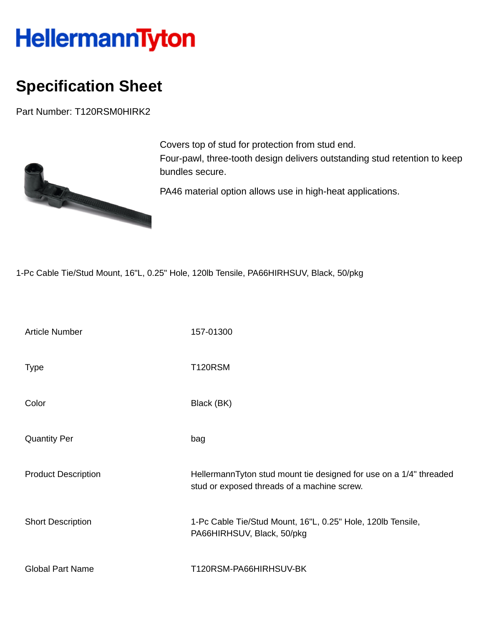## HellermannTyton

## **Specification Sheet**

Part Number: T120RSM0HIRK2



Covers top of stud for protection from stud end. Four-pawl, three-tooth design delivers outstanding stud retention to keep bundles secure.

PA46 material option allows use in high-heat applications.

1-Pc Cable Tie/Stud Mount, 16"L, 0.25" Hole, 120lb Tensile, PA66HIRHSUV, Black, 50/pkg

| <b>Article Number</b>      | 157-01300                                                                                                         |
|----------------------------|-------------------------------------------------------------------------------------------------------------------|
| <b>Type</b>                | <b>T120RSM</b>                                                                                                    |
| Color                      | Black (BK)                                                                                                        |
| <b>Quantity Per</b>        | bag                                                                                                               |
| <b>Product Description</b> | HellermannTyton stud mount tie designed for use on a 1/4" threaded<br>stud or exposed threads of a machine screw. |
| <b>Short Description</b>   | 1-Pc Cable Tie/Stud Mount, 16"L, 0.25" Hole, 120lb Tensile,<br>PA66HIRHSUV, Black, 50/pkg                         |
| <b>Global Part Name</b>    | T120RSM-PA66HIRHSUV-BK                                                                                            |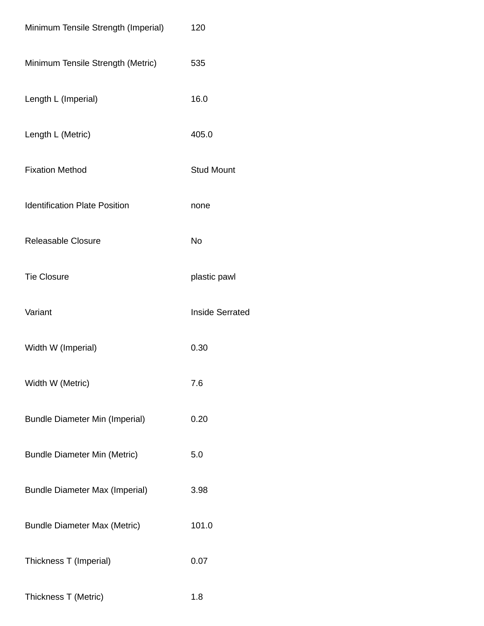| Minimum Tensile Strength (Imperial)   | 120                    |
|---------------------------------------|------------------------|
| Minimum Tensile Strength (Metric)     | 535                    |
| Length L (Imperial)                   | 16.0                   |
| Length L (Metric)                     | 405.0                  |
| <b>Fixation Method</b>                | <b>Stud Mount</b>      |
| <b>Identification Plate Position</b>  | none                   |
| <b>Releasable Closure</b>             | <b>No</b>              |
| <b>Tie Closure</b>                    | plastic pawl           |
| Variant                               | <b>Inside Serrated</b> |
| Width W (Imperial)                    | 0.30                   |
| Width W (Metric)                      | 7.6                    |
| <b>Bundle Diameter Min (Imperial)</b> | 0.20                   |
| <b>Bundle Diameter Min (Metric)</b>   | 5.0                    |
| <b>Bundle Diameter Max (Imperial)</b> | 3.98                   |
| <b>Bundle Diameter Max (Metric)</b>   | 101.0                  |
| Thickness T (Imperial)                | 0.07                   |
| Thickness T (Metric)                  | 1.8                    |